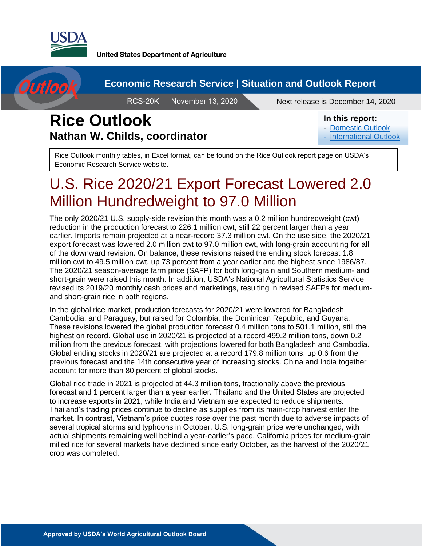

Outlool

**United States Department of Agriculture** 

#### **Economic Research Service | Situation and Outlook Report**

**RCS-20K** 

November 13, 2020 Next release is December 14, 2020

## **Rice Outlook Nathan W. Childs, coordinator**

#### In this report:

- [Domestic Outlook](#page-2-0)
- **[International Outlook](#page-6-0)**

Rice Outlook monthly tables, in Excel format, can be found on the Rice Outlook report page on USDA's Economic Research Service website.

# U.S. Rice 2020/21 Export Forecast Lowered 2.0 Million Hundredweight to 97.0 Million

The only 2020/21 U.S. supply-side revision this month was a 0.2 million hundredweight (cwt) reduction in the production forecast to 226.1 million cwt, still 22 percent larger than a year earlier. Imports remain projected at a near-record 37.3 million cwt. On the use side, the 2020/21 export forecast was lowered 2.0 million cwt to 97.0 million cwt, with long-grain accounting for all of the downward revision. On balance, these revisions raised the ending stock forecast 1.8 million cwt to 49.5 million cwt, up 73 percent from a year earlier and the highest since 1986/87. The 2020/21 season-average farm price (SAFP) for both long-grain and Southern medium- and short-grain were raised this month. In addition, USDA's National Agricultural Statistics Service revised its 2019/20 monthly cash prices and marketings, resulting in revised SAFPs for mediumand short-grain rice in both regions.

In the global rice market, production forecasts for 2020/21 were lowered for Bangladesh, Cambodia, and Paraguay, but raised for Colombia, the Dominican Republic, and Guyana. These revisions lowered the global production forecast 0.4 million tons to 501.1 million, still the highest on record. Global use in 2020/21 is projected at a record 499.2 million tons, down 0.2 million from the previous forecast, with projections lowered for both Bangladesh and Cambodia. Global ending stocks in 2020/21 are projected at a record 179.8 million tons, up 0.6 from the previous forecast and the 14th consecutive year of increasing stocks. China and India together account for more than 80 percent of global stocks.

Global rice trade in 2021 is projected at 44.3 million tons, fractionally above the previous forecast and 1 percent larger than a year earlier. Thailand and the United States are projected to increase exports in 2021, while India and Vietnam are expected to reduce shipments. Thailand's trading prices continue to decline as supplies from its main-crop harvest enter the market. In contrast, Vietnam's price quotes rose over the past month due to adverse impacts of several tropical storms and typhoons in October. U.S. long-grain price were unchanged, with actual shipments remaining well behind a year-earlier's pace. California prices for medium-grain milled rice for several markets have declined since early October, as the harvest of the 2020/21 crop was completed.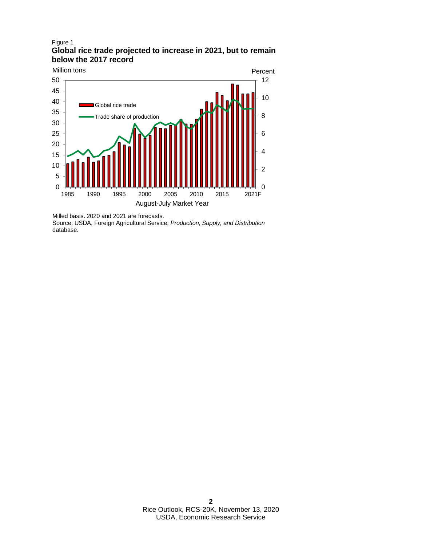#### Figure 1 **Global rice trade projected to increase in 2021, but to remain below the 2017 record**



Milled basis. 2020 and 2021 are forecasts.

Source: USDA, Foreign Agricultural Service, *Production, Supply, and Distribution*  database.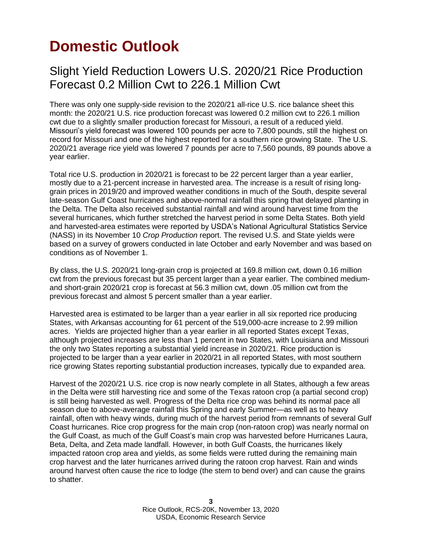# <span id="page-2-0"></span>**Domestic Outlook**

#### Slight Yield Reduction Lowers U.S. 2020/21 Rice Production Forecast 0.2 Million Cwt to 226.1 Million Cwt

There was only one supply-side revision to the 2020/21 all-rice U.S. rice balance sheet this month: the 2020/21 U.S. rice production forecast was lowered 0.2 million cwt to 226.1 million cwt due to a slightly smaller production forecast for Missouri, a result of a reduced yield. Missouri's yield forecast was lowered 100 pounds per acre to 7,800 pounds, still the highest on record for Missouri and one of the highest reported for a southern rice growing State. The U.S. 2020/21 average rice yield was lowered 7 pounds per acre to 7,560 pounds, 89 pounds above a year earlier.

Total rice U.S. production in 2020/21 is forecast to be 22 percent larger than a year earlier, mostly due to a 21-percent increase in harvested area. The increase is a result of rising longgrain prices in 2019/20 and improved weather conditions in much of the South, despite several late-season Gulf Coast hurricanes and above-normal rainfall this spring that delayed planting in the Delta. The Delta also received substantial rainfall and wind around harvest time from the several hurricanes, which further stretched the harvest period in some Delta States. Both yield and harvested-area estimates were reported by USDA's National Agricultural Statistics Service (NASS) in its November 10 *Crop Production* report. The revised U.S. and State yields were based on a survey of growers conducted in late October and early November and was based on conditions as of November 1.

By class, the U.S. 2020/21 long-grain crop is projected at 169.8 million cwt, down 0.16 million cwt from the previous forecast but 35 percent larger than a year earlier. The combined mediumand short-grain 2020/21 crop is forecast at 56.3 million cwt, down .05 million cwt from the previous forecast and almost 5 percent smaller than a year earlier.

Harvested area is estimated to be larger than a year earlier in all six reported rice producing States, with Arkansas accounting for 61 percent of the 519,000-acre increase to 2.99 million acres. Yields are projected higher than a year earlier in all reported States except Texas, although projected increases are less than 1 percent in two States, with Louisiana and Missouri the only two States reporting a substantial yield increase in 2020/21. Rice production is projected to be larger than a year earlier in 2020/21 in all reported States, with most southern rice growing States reporting substantial production increases, typically due to expanded area.

Harvest of the 2020/21 U.S. rice crop is now nearly complete in all States, although a few areas in the Delta were still harvesting rice and some of the Texas ratoon crop (a partial second crop) is still being harvested as well. Progress of the Delta rice crop was behind its normal pace all season due to above-average rainfall this Spring and early Summer—as well as to heavy rainfall, often with heavy winds, during much of the harvest period from remnants of several Gulf Coast hurricanes. Rice crop progress for the main crop (non-ratoon crop) was nearly normal on the Gulf Coast, as much of the Gulf Coast's main crop was harvested before Hurricanes Laura, Beta, Delta, and Zeta made landfall. However, in both Gulf Coasts, the hurricanes likely impacted ratoon crop area and yields, as some fields were rutted during the remaining main crop harvest and the later hurricanes arrived during the ratoon crop harvest. Rain and winds around harvest often cause the rice to lodge (the stem to bend over) and can cause the grains to shatter.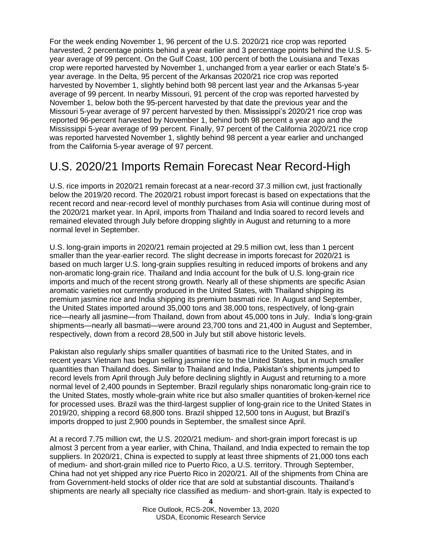For the week ending November 1, 96 percent of the U.S. 2020/21 rice crop was reported harvested, 2 percentage points behind a year earlier and 3 percentage points behind the U.S. 5 year average of 99 percent. On the Gulf Coast, 100 percent of both the Louisiana and Texas crop were reported harvested by November 1, unchanged from a year earlier or each State's 5 year average. In the Delta, 95 percent of the Arkansas 2020/21 rice crop was reported harvested by November 1, slightly behind both 98 percent last year and the Arkansas 5-year average of 99 percent. In nearby Missouri, 91 percent of the crop was reported harvested by November 1, below both the 95-percent harvested by that date the previous year and the Missouri 5-year average of 97 percent harvested by then. Mississippi's 2020/21 rice crop was reported 96-percent harvested by November 1, behind both 98 percent a year ago and the Mississippi 5-year average of 99 percent. Finally, 97 percent of the California 2020/21 rice crop was reported harvested November 1, slightly behind 98 percent a year earlier and unchanged from the California 5-year average of 97 percent.

### U.S. 2020/21 Imports Remain Forecast Near Record-High

U.S. rice imports in 2020/21 remain forecast at a near-record 37.3 million cwt, just fractionally below the 2019/20 record. The 2020/21 robust import forecast is based on expectations that the recent record and near-record level of monthly purchases from Asia will continue during most of the 2020/21 market year. In April, imports from Thailand and India soared to record levels and remained elevated through July before dropping slightly in August and returning to a more normal level in September.

U.S. long-grain imports in 2020/21 remain projected at 29.5 million cwt, less than 1 percent smaller than the year-earlier record. The slight decrease in imports forecast for 2020/21 is based on much larger U.S. long-grain supplies resulting in reduced imports of brokens and any non-aromatic long-grain rice. Thailand and India account for the bulk of U.S. long-grain rice imports and much of the recent strong growth. Nearly all of these shipments are specific Asian aromatic varieties not currently produced in the United States, with Thailand shipping its premium jasmine rice and India shipping its premium basmati rice. In August and September, the United States imported around 35,000 tons and 38,000 tons, respectively, of long-grain rice—nearly all jasmine—from Thailand, down from about 45,000 tons in July. India's long-grain shipments—nearly all basmati—were around 23,700 tons and 21,400 in August and September, respectively, down from a record 28,500 in July but still above historic levels.

Pakistan also regularly ships smaller quantities of basmati rice to the United States, and in recent years Vietnam has begun selling jasmine rice to the United States, but in much smaller quantities than Thailand does. Similar to Thailand and India, Pakistan's shipments jumped to record levels from April through July before declining slightly in August and returning to a more normal level of 2,400 pounds in September. Brazil regularly ships nonaromatic long-grain rice to the United States, mostly whole-grain white rice but also smaller quantities of broken-kernel rice for processed uses. Brazil was the third-largest supplier of long-grain rice to the United States in 2019/20, shipping a record 68,800 tons. Brazil shipped 12,500 tons in August, but Brazil's imports dropped to just 2,900 pounds in September, the smallest since April.

At a record 7.75 million cwt, the U.S. 2020/21 medium- and short-grain import forecast is up almost 3 percent from a year earlier, with China, Thailand, and India expected to remain the top suppliers. In 2020/21, China is expected to supply at least three shipments of 21,000 tons each of medium- and short-grain milled rice to Puerto Rico, a U.S. territory. Through September, China had not yet shipped any rice Puerto Rico in 2020/21. All of the shipments from China are from Government-held stocks of older rice that are sold at substantial discounts. Thailand's shipments are nearly all specialty rice classified as medium- and short-grain. Italy is expected to

> **4** Rice Outlook, RCS-20K, November 13, 2020 USDA, Economic Research Service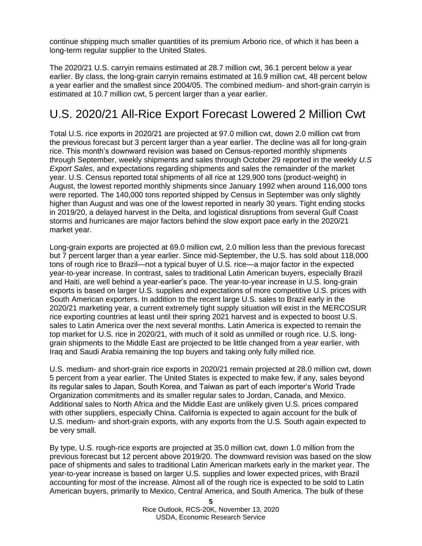continue shipping much smaller quantities of its premium Arborio rice, of which it has been a long-term regular supplier to the United States.

The 2020/21 U.S. carryin remains estimated at 28.7 million cwt, 36.1 percent below a year earlier. By class, the long-grain carryin remains estimated at 16.9 million cwt, 48 percent below a year earlier and the smallest since 2004/05. The combined medium- and short-grain carryin is estimated at 10.7 million cwt, 5 percent larger than a year earlier.

## U.S. 2020/21 All-Rice Export Forecast Lowered 2 Million Cwt

Total U.S. rice exports in 2020/21 are projected at 97.0 million cwt, down 2.0 million cwt from the previous forecast but 3 percent larger than a year earlier. The decline was all for long-grain rice. This month's downward revision was based on Census-reported monthly shipments through September, weekly shipments and sales through October 29 reported in the weekly *U.S Export Sales*, and expectations regarding shipments and sales the remainder of the market year. U.S. Census reported total shipments of all rice at 129,900 tons (product-weight) in August, the lowest reported monthly shipments since January 1992 when around 116,000 tons were reported. The 140,000 tons reported shipped by Census in September was only slightly higher than August and was one of the lowest reported in nearly 30 years. Tight ending stocks in 2019/20, a delayed harvest in the Delta, and logistical disruptions from several Gulf Coast storms and hurricanes are major factors behind the slow export pace early in the 2020/21 market year.

Long-grain exports are projected at 69.0 million cwt, 2.0 million less than the previous forecast but 7 percent larger than a year earlier. Since mid-September, the U.S. has sold about 118,000 tons of rough rice to Brazil—not a typical buyer of U.S. rice—a major factor in the expected year-to-year increase. In contrast, sales to traditional Latin American buyers, especially Brazil and Haiti, are well behind a year-earlier's pace. The year-to-year increase in U.S. long-grain exports is based on larger U.S. supplies and expectations of more competitive U.S. prices with South American exporters. In addition to the recent large U.S. sales to Brazil early in the 2020/21 marketing year, a current extremely tight supply situation will exist in the MERCOSUR rice exporting countries at least until their spring 2021 harvest and is expected to boost U.S. sales to Latin America over the next several months. Latin America is expected to remain the top market for U.S. rice in 2020/21, with much of it sold as unmilled or rough rice. U.S. longgrain shipments to the Middle East are projected to be little changed from a year earlier, with Iraq and Saudi Arabia remaining the top buyers and taking only fully milled rice.

U.S. medium- and short-grain rice exports in 2020/21 remain projected at 28.0 million cwt, down 5 percent from a year earlier. The United States is expected to make few, if any, sales beyond its regular sales to Japan, South Korea, and Taiwan as part of each importer's World Trade Organization commitments and its smaller regular sales to Jordan, Canada, and Mexico. Additional sales to North Africa and the Middle East are unlikely given U.S. prices compared with other suppliers, especially China. California is expected to again account for the bulk of U.S. medium- and short-grain exports, with any exports from the U.S. South again expected to be very small.

By type, U.S. rough-rice exports are projected at 35.0 million cwt, down 1.0 million from the previous forecast but 12 percent above 2019/20. The downward revision was based on the slow pace of shipments and sales to traditional Latin American markets early in the market year. The year-to-year increase is based on larger U.S. supplies and lower expected prices, with Brazil accounting for most of the increase. Almost all of the rough rice is expected to be sold to Latin American buyers, primarily to Mexico, Central America, and South America. The bulk of these

> **5** Rice Outlook, RCS-20K, November 13, 2020 USDA, Economic Research Service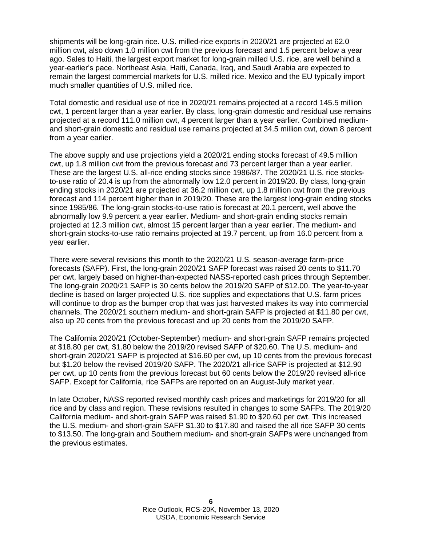shipments will be long-grain rice. U.S. milled-rice exports in 2020/21 are projected at 62.0 million cwt, also down 1.0 million cwt from the previous forecast and 1.5 percent below a year ago. Sales to Haiti, the largest export market for long-grain milled U.S. rice, are well behind a year-earlier's pace. Northeast Asia, Haiti, Canada, Iraq, and Saudi Arabia are expected to remain the largest commercial markets for U.S. milled rice. Mexico and the EU typically import much smaller quantities of U.S. milled rice.

Total domestic and residual use of rice in 2020/21 remains projected at a record 145.5 million cwt, 1 percent larger than a year earlier. By class, long-grain domestic and residual use remains projected at a record 111.0 million cwt, 4 percent larger than a year earlier. Combined mediumand short-grain domestic and residual use remains projected at 34.5 million cwt, down 8 percent from a year earlier.

The above supply and use projections yield a 2020/21 ending stocks forecast of 49.5 million cwt, up 1.8 million cwt from the previous forecast and 73 percent larger than a year earlier. These are the largest U.S. all-rice ending stocks since 1986/87. The 2020/21 U.S. rice stocksto-use ratio of 20.4 is up from the abnormally low 12.0 percent in 2019/20. By class, long-grain ending stocks in 2020/21 are projected at 36.2 million cwt, up 1.8 million cwt from the previous forecast and 114 percent higher than in 2019/20. These are the largest long-grain ending stocks since 1985/86. The long-grain stocks-to-use ratio is forecast at 20.1 percent, well above the abnormally low 9.9 percent a year earlier. Medium- and short-grain ending stocks remain projected at 12.3 million cwt, almost 15 percent larger than a year earlier. The medium- and short-grain stocks-to-use ratio remains projected at 19.7 percent, up from 16.0 percent from a year earlier.

There were several revisions this month to the 2020/21 U.S. season-average farm-price forecasts (SAFP). First, the long-grain 2020/21 SAFP forecast was raised 20 cents to \$11.70 per cwt, largely based on higher-than-expected NASS-reported cash prices through September. The long-grain 2020/21 SAFP is 30 cents below the 2019/20 SAFP of \$12.00. The year-to-year decline is based on larger projected U.S. rice supplies and expectations that U.S. farm prices will continue to drop as the bumper crop that was just harvested makes its way into commercial channels. The 2020/21 southern medium- and short-grain SAFP is projected at \$11.80 per cwt, also up 20 cents from the previous forecast and up 20 cents from the 2019/20 SAFP.

The California 2020/21 (October-September) medium- and short-grain SAFP remains projected at \$18.80 per cwt, \$1.80 below the 2019/20 revised SAFP of \$20.60. The U.S. medium- and short-grain 2020/21 SAFP is projected at \$16.60 per cwt, up 10 cents from the previous forecast but \$1.20 below the revised 2019/20 SAFP. The 2020/21 all-rice SAFP is projected at \$12.90 per cwt, up 10 cents from the previous forecast but 60 cents below the 2019/20 revised all-rice SAFP. Except for California, rice SAFPs are reported on an August-July market year.

In late October, NASS reported revised monthly cash prices and marketings for 2019/20 for all rice and by class and region. These revisions resulted in changes to some SAFPs. The 2019/20 California medium- and short-grain SAFP was raised \$1.90 to \$20.60 per cwt. This increased the U.S. medium- and short-grain SAFP \$1.30 to \$17.80 and raised the all rice SAFP 30 cents to \$13.50. The long-grain and Southern medium- and short-grain SAFPs were unchanged from the previous estimates.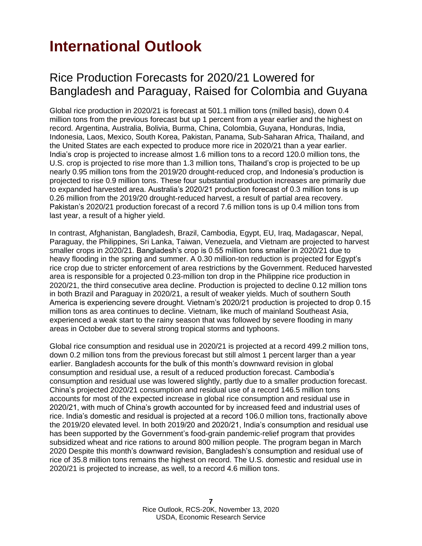# <span id="page-6-0"></span>**International Outlook**

#### Rice Production Forecasts for 2020/21 Lowered for Bangladesh and Paraguay, Raised for Colombia and Guyana

Global rice production in 2020/21 is forecast at 501.1 million tons (milled basis), down 0.4 million tons from the previous forecast but up 1 percent from a year earlier and the highest on record. Argentina, Australia, Bolivia, Burma, China, Colombia, Guyana, Honduras, India, Indonesia, Laos, Mexico, South Korea, Pakistan, Panama, Sub-Saharan Africa, Thailand, and the United States are each expected to produce more rice in 2020/21 than a year earlier. India's crop is projected to increase almost 1.6 million tons to a record 120.0 million tons, the U.S. crop is projected to rise more than 1.3 million tons, Thailand's crop is projected to be up nearly 0.95 million tons from the 2019/20 drought-reduced crop, and Indonesia's production is projected to rise 0.9 million tons. These four substantial production increases are primarily due to expanded harvested area. Australia's 2020/21 production forecast of 0.3 million tons is up 0.26 million from the 2019/20 drought-reduced harvest, a result of partial area recovery. Pakistan's 2020/21 production forecast of a record 7.6 million tons is up 0.4 million tons from last year, a result of a higher yield.

In contrast, Afghanistan, Bangladesh, Brazil, Cambodia, Egypt, EU, Iraq, Madagascar, Nepal, Paraguay, the Philippines, Sri Lanka, Taiwan, Venezuela, and Vietnam are projected to harvest smaller crops in 2020/21. Bangladesh's crop is 0.55 million tons smaller in 2020/21 due to heavy flooding in the spring and summer. A 0.30 million-ton reduction is projected for Egypt's rice crop due to stricter enforcement of area restrictions by the Government. Reduced harvested area is responsible for a projected 0.23-million ton drop in the Philippine rice production in 2020/21, the third consecutive area decline. Production is projected to decline 0.12 million tons in both Brazil and Paraguay in 2020/21, a result of weaker yields. Much of southern South America is experiencing severe drought. Vietnam's 2020/21 production is projected to drop 0.15 million tons as area continues to decline. Vietnam, like much of mainland Southeast Asia, experienced a weak start to the rainy season that was followed by severe flooding in many areas in October due to several strong tropical storms and typhoons.

Global rice consumption and residual use in 2020/21 is projected at a record 499.2 million tons, down 0.2 million tons from the previous forecast but still almost 1 percent larger than a year earlier. Bangladesh accounts for the bulk of this month's downward revision in global consumption and residual use, a result of a reduced production forecast. Cambodia's consumption and residual use was lowered slightly, partly due to a smaller production forecast. China's projected 2020/21 consumption and residual use of a record 146.5 million tons accounts for most of the expected increase in global rice consumption and residual use in 2020/21, with much of China's growth accounted for by increased feed and industrial uses of rice. India's domestic and residual is projected at a record 106.0 million tons, fractionally above the 2019/20 elevated level. In both 2019/20 and 2020/21, India's consumption and residual use has been supported by the Government's food-grain pandemic-relief program that provides subsidized wheat and rice rations to around 800 million people. The program began in March 2020 Despite this month's downward revision, Bangladesh's consumption and residual use of rice of 35.8 million tons remains the highest on record. The U.S. domestic and residual use in 2020/21 is projected to increase, as well, to a record 4.6 million tons.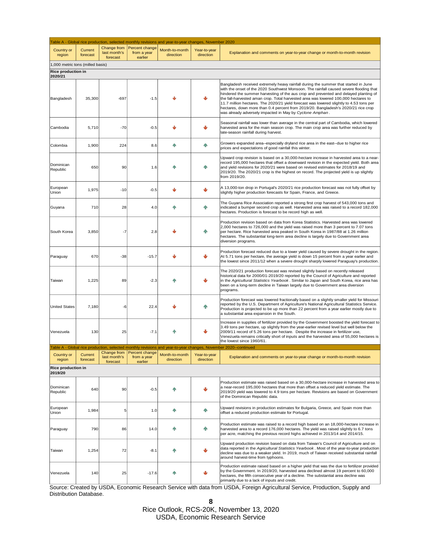| Table A - Global rice production, selected monthly revisions and year-to-year changes, November 2020 |                     |                                         |                                          |                             |                           |                                                                                                                                                                                                                                                                                                                                                                                                                                                                                                                                                                                                         |  |
|------------------------------------------------------------------------------------------------------|---------------------|-----------------------------------------|------------------------------------------|-----------------------------|---------------------------|---------------------------------------------------------------------------------------------------------------------------------------------------------------------------------------------------------------------------------------------------------------------------------------------------------------------------------------------------------------------------------------------------------------------------------------------------------------------------------------------------------------------------------------------------------------------------------------------------------|--|
| Country or<br>region                                                                                 | Current<br>forecast | Change from<br>last month's<br>forecast | Percent change<br>from a year<br>earlier | Month-to-month<br>direction | Year-to-year<br>direction | Explanation and comments on year-to-year change or month-to-month revision                                                                                                                                                                                                                                                                                                                                                                                                                                                                                                                              |  |
| 1,000 metric tons (milled basis)                                                                     |                     |                                         |                                          |                             |                           |                                                                                                                                                                                                                                                                                                                                                                                                                                                                                                                                                                                                         |  |
| <b>Rice production in</b>                                                                            |                     |                                         |                                          |                             |                           |                                                                                                                                                                                                                                                                                                                                                                                                                                                                                                                                                                                                         |  |
| 2020/21<br>Bangladesh                                                                                | 35,300              | $-697$                                  | $-1.5$                                   |                             |                           | Bangladesh received extremely heavy rainfall during the summer that started in June<br>with the onset of the 2020 Southwest Monsoon. The rainfall caused severe flooding that<br>hindered the summer harvesting of the aus crop and prevented and delayed planting of<br>the fall-harvested aman crop. Total harvested area was lowered 100,000 hectares to<br>11.7 million hectares. The 2020/21 yield forecast was lowered slightly to 4.53 tons per<br>hectares, down more than 0.4 percent from 2019/20. Bangladesh's 2020/21 rice crop<br>was already adversely impacted in May by Cyclone Amphan. |  |
| Cambodia                                                                                             | 5,710               | $-70$                                   | $-0.5$                                   |                             |                           | Seasonal rainfall was lower than average in the central part of Cambodia, which lowered<br>harvested area for the main season crop. The main crop area was further reduced by<br>late-season rainfall during harvest.                                                                                                                                                                                                                                                                                                                                                                                   |  |
| Colombia                                                                                             | 1,900               | 224                                     | 8.6                                      | Æ                           | 个                         | Growers expanded area--especially dryland rice area in the east--due to higher rice<br>prices and expectations of good rainfall this winter.                                                                                                                                                                                                                                                                                                                                                                                                                                                            |  |
| Dominican<br>Republic                                                                                | 650                 | 90                                      | 1.6                                      |                             | ጡ                         | Upward crop revision is based on a 30,000-hectare increase in harvested area to a near-<br>record 195,000 hectares that offset a downward revision in the expected yield. Both area<br>and yield revisions for 2020/21 were based on revised estimates for 2018/19 and<br>2019/20. The 2020/21 crop is the highest on record. The projected yield is up slightly<br>from 2019/20.                                                                                                                                                                                                                       |  |
| European<br>Union                                                                                    | 1,975               | $-10$                                   | $-0.5$                                   |                             | ⋓                         | A 13,000-ton drop in Portugal's 2020/21 rice production forecast was not fully offset by<br>slightly higher production forecasts for Spain, France, and Greece.                                                                                                                                                                                                                                                                                                                                                                                                                                         |  |
| Guyana                                                                                               | 710                 | 28                                      | 4.0                                      |                             | 个                         | The Guyana Rice Association reported a strong first crop harvest of 543,000 tons and<br>indicated a bumper second crop as well. Harvested area was raised to a record 182,000<br>hectares. Production is forecast to be record high as well.                                                                                                                                                                                                                                                                                                                                                            |  |
| South Korea                                                                                          | 3,850               | -7                                      | 2.8                                      |                             |                           | Production revision based on data from Korea Statistics. Harvested area was lowered<br>2,000 hectares to 726,000 and the yield was raised more than 3 percent to 7.07 tons<br>per hectare. Rice harvested area peaked in South Korea in 1987/88 at 1.26 million<br>hectares. The substantial long-term area decline is largely due to Government area<br>diversion programs.                                                                                                                                                                                                                            |  |
| Paraguay                                                                                             | 670                 | $-38$                                   | $-15.7$                                  |                             |                           | Production forecast reduced due to a lower yield caused by severe drought in the region.<br>At 5.71 tons per hectare, the average yield is down 15 percent from a year earlier and<br>the lowest since 2011/12 when a severe drought sharply lowered Paraguay's production.                                                                                                                                                                                                                                                                                                                             |  |
| Taiwan                                                                                               | 1,225               | 89                                      | $-2.3$                                   |                             |                           | The 2020/21 production forecast was revised slightly based on recently released<br>historical data for 2000/01-2019/20 reported by the Council of Agriculture and reported<br>in the Agricultural Statistics Yearbook. Similar to Japan and South Korea, rice area has<br>been on a long-term decline in Taiwan largely due to Government area diversion<br>programs.                                                                                                                                                                                                                                   |  |
| <b>United States</b>                                                                                 | 7,180               | -6                                      | 22.4                                     |                             | ጥ                         | Production forecast was lowered fractionally based on a slightly smaller yield for Missouri<br>reported by the U.S. Department of Agriculture's National Agricultural Statistics Service.<br>Production is projected to be up more than 22 percent from a year earlier mostly due to<br>a substantial area expansion in the South.                                                                                                                                                                                                                                                                      |  |
| Venezuela                                                                                            | 130                 | 25                                      | $-7.1$                                   |                             |                           | Increase in supplies of fertilizer provided by the Government boosted the yield forecast to<br>3.49 tons per hectare, up slightly from the year-earlier revised level but well below the<br>2009/11 record of 5.26 tons per hectare. Despite the increase in fertilizer use,<br>Venezuela remains critically short of inputs and the harvested area of 55,000 hectares is<br>the lowest since 1960/61.                                                                                                                                                                                                  |  |
|                                                                                                      |                     | Change from                             | Percent change                           |                             |                           | Table A - Global rice production, selected monthly revisions and year-to-year changes, November 2020--continued                                                                                                                                                                                                                                                                                                                                                                                                                                                                                         |  |
| Country or<br>region                                                                                 | Current<br>forecast | last month's<br>forecast                | from a year<br>earlier                   | Month-to-month<br>direction | Year-to-year<br>direction | Explanation and comments on year-to-year change or month-to-month revision                                                                                                                                                                                                                                                                                                                                                                                                                                                                                                                              |  |
| Rice production in                                                                                   |                     |                                         |                                          |                             |                           |                                                                                                                                                                                                                                                                                                                                                                                                                                                                                                                                                                                                         |  |
| 2019/20                                                                                              |                     |                                         |                                          |                             |                           |                                                                                                                                                                                                                                                                                                                                                                                                                                                                                                                                                                                                         |  |
| Dominican<br>Republic                                                                                | 640                 | 90                                      | $-0.5$                                   |                             |                           | Production estimate was raised based on a 30,000-hectare increase in harvested area to<br>a near-record 195,000 hectares that more than offset a reduced yield estimate. The<br>2019/20 yield was lowered to 4.9 tons per hectare. Revisions are based on Government<br>of the Dominican Republic data.                                                                                                                                                                                                                                                                                                 |  |
| European<br>Union                                                                                    | 1,984               | 5                                       | 1.0                                      | ۹N                          | 个                         | Upward revisions in production estimates for Bulgaria, Greece, and Spain more than<br>offset a reduced production estimate for Portugal.                                                                                                                                                                                                                                                                                                                                                                                                                                                                |  |
| Paraguay                                                                                             | 790                 | 86                                      | 14.0                                     | Æ                           | ጡ                         | Production estimate was raised to a record high based on an 18,000-hectare increase in<br>harvested area to a record 176,000 hectares. The yield was raised slightly to 6.7 tons<br>per acre, matching the previous record highs achieved in 2013/14 and 2014/15.                                                                                                                                                                                                                                                                                                                                       |  |
| Taiwan                                                                                               | 1,254               | 72                                      | $-8.1$                                   | ⋒                           |                           | Upward production revision based on data from Taiwan's Council of Agriculture and on<br>data reported in the Agricultural Statistics Yearbook. Most of the year-to-year production<br>decline was due to a weaker yield. In 2019, much of Taiwan received substantial rainfall<br>around harvest-time from typhoons.                                                                                                                                                                                                                                                                                    |  |
| Venezuela                                                                                            | 140                 | 25                                      | $-17.6$                                  | Æ                           |                           | Production estimate raised based on a higher yield that was the due to fertilizer provided<br>by the Government. In 2019/20, harvested area declined almost 19 percent to 60,000<br>hectares, the fifth consecutive year of a decline. The substantial area decline was<br>primarily due to a lack of inputs and credit.                                                                                                                                                                                                                                                                                |  |

Source: Created by USDA, Economic Research Service with data from USDA, Foreign Agricultural Service, Production, Supply and Distribution Database.

**8**

Rice Outlook, RCS-20K, November 13, 2020 USDA, Economic Research Service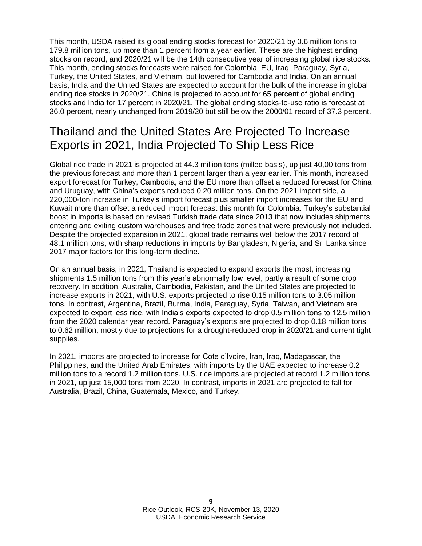This month, USDA raised its global ending stocks forecast for 2020/21 by 0.6 million tons to 179.8 million tons, up more than 1 percent from a year earlier. These are the highest ending stocks on record, and 2020/21 will be the 14th consecutive year of increasing global rice stocks. This month, ending stocks forecasts were raised for Colombia, EU, Iraq, Paraguay, Syria, Turkey, the United States, and Vietnam, but lowered for Cambodia and India. On an annual basis, India and the United States are expected to account for the bulk of the increase in global ending rice stocks in 2020/21. China is projected to account for 65 percent of global ending stocks and India for 17 percent in 2020/21. The global ending stocks-to-use ratio is forecast at 36.0 percent, nearly unchanged from 2019/20 but still below the 2000/01 record of 37.3 percent.

#### Thailand and the United States Are Projected To Increase Exports in 2021, India Projected To Ship Less Rice

Global rice trade in 2021 is projected at 44.3 million tons (milled basis), up just 40,00 tons from the previous forecast and more than 1 percent larger than a year earlier. This month, increased export forecast for Turkey, Cambodia, and the EU more than offset a reduced forecast for China and Uruguay, with China's exports reduced 0.20 million tons. On the 2021 import side, a 220,000-ton increase in Turkey's import forecast plus smaller import increases for the EU and Kuwait more than offset a reduced import forecast this month for Colombia. Turkey's substantial boost in imports is based on revised Turkish trade data since 2013 that now includes shipments entering and exiting custom warehouses and free trade zones that were previously not included. Despite the projected expansion in 2021, global trade remains well below the 2017 record of 48.1 million tons, with sharp reductions in imports by Bangladesh, Nigeria, and Sri Lanka since 2017 major factors for this long-term decline.

On an annual basis, in 2021, Thailand is expected to expand exports the most, increasing shipments 1.5 million tons from this year's abnormally low level, partly a result of some crop recovery. In addition, Australia, Cambodia, Pakistan, and the United States are projected to increase exports in 2021, with U.S. exports projected to rise 0.15 million tons to 3.05 million tons. In contrast, Argentina, Brazil, Burma, India, Paraguay, Syria, Taiwan, and Vietnam are expected to export less rice, with India's exports expected to drop 0.5 million tons to 12.5 million from the 2020 calendar year record. Paraguay's exports are projected to drop 0.18 million tons to 0.62 million, mostly due to projections for a drought-reduced crop in 2020/21 and current tight supplies.

In 2021, imports are projected to increase for Cote d'Ivoire, Iran, Iraq, Madagascar, the Philippines, and the United Arab Emirates, with imports by the UAE expected to increase 0.2 million tons to a record 1.2 million tons. U.S. rice imports are projected at record 1.2 million tons in 2021, up just 15,000 tons from 2020. In contrast, imports in 2021 are projected to fall for Australia, Brazil, China, Guatemala, Mexico, and Turkey.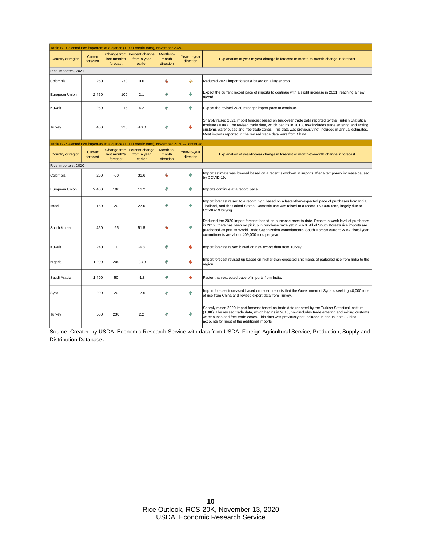| Table B - Selected rice importers at a glance (1,000 metric tons), November 2020 |                     |                                         |                                          |                                 |                           |                                                                                                                                                                                                                                                                                                                                                                                             |  |  |
|----------------------------------------------------------------------------------|---------------------|-----------------------------------------|------------------------------------------|---------------------------------|---------------------------|---------------------------------------------------------------------------------------------------------------------------------------------------------------------------------------------------------------------------------------------------------------------------------------------------------------------------------------------------------------------------------------------|--|--|
| Country or region                                                                | Current<br>forecast | Change from<br>last month's<br>forecast | Percent change<br>from a year<br>earlier | Month-to-<br>month<br>direction | Year-to-year<br>direction | Explanation of year-to-year change in forecast or month-to-month change in forecast                                                                                                                                                                                                                                                                                                         |  |  |
| Rice importers, 2021                                                             |                     |                                         |                                          |                                 |                           |                                                                                                                                                                                                                                                                                                                                                                                             |  |  |
| Colombia                                                                         | 250                 | $-30$                                   | 0.0                                      | ψ                               | -5                        | Reduced 2021 import forecast based on a larger crop.                                                                                                                                                                                                                                                                                                                                        |  |  |
| European Union                                                                   | 2,450               | 100                                     | 2.1                                      | Ŵ                               | ńм                        | Expect the current record pace of imports to continue with a slight increase in 2021, reaching a new<br>record.                                                                                                                                                                                                                                                                             |  |  |
| Kuwait                                                                           | 250                 | 15                                      | 4.2                                      | ńМ                              | 命                         | Expect the revised 2020 stronger import pace to continue.                                                                                                                                                                                                                                                                                                                                   |  |  |
| Turkey                                                                           | 450                 | 220                                     | $-10.0$                                  | m                               | ىلل                       | Sharply raised 2021 import forecast based on back-year trade data reported by the Turkish Statistical<br>Institute (TUIK). The revised trade data, which begins in 2013, now includes trade entering and exiting<br>customs warehouses and free trade zones. This data was previously not included in annual estimates.<br>Most imports reported in the revised trade data were from China. |  |  |
| Fable B - Selected rice importers at a glance (1,000 metric tons).               |                     |                                         |                                          |                                 | November 2020.--Continued |                                                                                                                                                                                                                                                                                                                                                                                             |  |  |
| Country or region                                                                | Current<br>forecast | Change from<br>last month's<br>forecast | Percent change<br>from a year<br>earlier | Month-to-<br>month<br>direction | Year-to-year<br>direction | Explanation of year-to-year change in forecast or month-to-month change in forecast                                                                                                                                                                                                                                                                                                         |  |  |
| Rice importers, 2020                                                             |                     |                                         |                                          |                                 |                           |                                                                                                                                                                                                                                                                                                                                                                                             |  |  |
| Colombia                                                                         | 250                 | $-50$                                   | 31.6                                     | ψ                               | 命                         | Import estimate was lowered based on a recent slowdown in imports after a temporary increase caused<br>by COVID-19.                                                                                                                                                                                                                                                                         |  |  |
| European Union                                                                   | 2,400               | 100                                     | 11.2                                     | ńМ                              | ńМ                        | Imports continue at a record pace.                                                                                                                                                                                                                                                                                                                                                          |  |  |
| Israel                                                                           | 160                 | 20                                      | 27.0                                     | ńМ                              | 介                         | Import forecast raised to a record high based on a faster-than-expected pace of purchases from India,<br>Thailand, and the United States. Domestic use was raised to a record 160,000 tons, largely due to<br>COVID-19 buying.                                                                                                                                                              |  |  |
| South Korea                                                                      | 450                 | $-25$                                   | 51.5                                     |                                 | ńм                        | Reduced the 2020 import forecast based on purchase-pace to-date. Despite a weak level of purchases<br>in 2019, there has been no pickup in purchase pace yet in 2020. All of South Korea's rice imports are<br>purchased as part its World Trade Organization commitments. South Korea's current WTO fiscal year<br>commitments are about 409,000 tons per year.                            |  |  |
| Kuwait                                                                           | 240                 | 10                                      | $-4.8$                                   | ♠                               | ىلل                       | Import forecast raised based on new export data from Turkey.                                                                                                                                                                                                                                                                                                                                |  |  |
| Nigeria                                                                          | 1,200               | 200                                     | $-33.3$                                  | Ŵ                               | ىلل                       | Import forecast revised up based on higher-than-expected shipments of parboiled rice from India to the<br>region.                                                                                                                                                                                                                                                                           |  |  |
| Saudi Arabia                                                                     | 1,400               | 50                                      | $-1.8$                                   | ńМ                              | ₩                         | Faster-than-expected pace of imports from India.                                                                                                                                                                                                                                                                                                                                            |  |  |
| Syria                                                                            | 200                 | 20                                      | 17.6                                     | ♠                               | 命                         | Import forecast increased based on recent reports that the Government of Syria is seeking 40,000 tons<br>of rice from China and revised export data from Turkey.                                                                                                                                                                                                                            |  |  |
| Turkey                                                                           | 500                 | 230                                     | 2.2                                      | ńМ                              | 介                         | Sharply raised 2020 import forecast based on trade data reported by the Turkish Statistical Institute<br>(TUIK). The revised trade data, which begins in 2013, now includes trade entering and exiting customs<br>warehouses and free trade zones. This data was previously not included in annual data. China<br>accounts for most of the additional imports.                              |  |  |

Source: Created by USDA, Economic Research Service with data from USDA, Foreign Agricultural Service, Production, Supply and Distribution Database.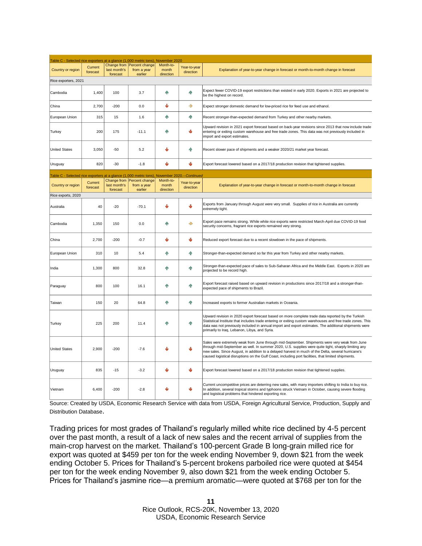| <b>Table C - Selected rice exporters</b><br>at a glance (1,000 metric tons).<br>November 2020 |                     |                                         |                                          |                                 |                           |                                                                                                                                                                                                                                                                                                                                                                                                                    |  |
|-----------------------------------------------------------------------------------------------|---------------------|-----------------------------------------|------------------------------------------|---------------------------------|---------------------------|--------------------------------------------------------------------------------------------------------------------------------------------------------------------------------------------------------------------------------------------------------------------------------------------------------------------------------------------------------------------------------------------------------------------|--|
|                                                                                               |                     |                                         | Change from Percent change               | Month-to-                       |                           |                                                                                                                                                                                                                                                                                                                                                                                                                    |  |
| Country or region                                                                             | Current<br>forecast | last month's                            | from a year                              | month                           | Year-to-year<br>direction | Explanation of year-to-year change in forecast or month-to-month change in forecast                                                                                                                                                                                                                                                                                                                                |  |
|                                                                                               |                     | forecast                                | earlier                                  | direction                       |                           |                                                                                                                                                                                                                                                                                                                                                                                                                    |  |
| Rice exporters, 2021                                                                          |                     |                                         |                                          |                                 |                           |                                                                                                                                                                                                                                                                                                                                                                                                                    |  |
| Cambodia                                                                                      | 1,400               | 100                                     | 3.7                                      | 个                               | 个                         | Expect fewer COVID-19 export restrictions than existed in early 2020. Exports in 2021 are projected to<br>be the highest on record.                                                                                                                                                                                                                                                                                |  |
| China                                                                                         | 2,700               | $-200$                                  | 0.0                                      | ψ                               | ♣                         | Expect stronger domestic demand for low-priced rice for feed use and ethanol.                                                                                                                                                                                                                                                                                                                                      |  |
| European Union                                                                                | 315                 | 15                                      | 1.6                                      | 个                               | 个                         | Recent stronger-than-expected demand from Turkey and other nearby markets.                                                                                                                                                                                                                                                                                                                                         |  |
| Turkey                                                                                        | 200                 | 175                                     | $-11.1$                                  | 个                               | ψ                         | Upward revision in 2021 export forecast based on back-year revisions since 2013 that now include trade<br>entering or exiting custom warehouse and free trade zones. This data was not previously included in<br>import and export estimates.                                                                                                                                                                      |  |
| <b>United States</b>                                                                          | 3,050               | $-50$                                   | 5.2                                      | J                               | 个                         | Recent slower pace of shipments and a weaker 2020/21 market year forecast.                                                                                                                                                                                                                                                                                                                                         |  |
| Uruguay                                                                                       | 820                 | $-30$                                   | $-1.8$                                   | ψ                               | ψ                         | Export forecast lowered based on a 2017/18 production revision that tightened supplies.                                                                                                                                                                                                                                                                                                                            |  |
| Table C - Selected rice exporters at a glance (1,000 metric tons).                            |                     |                                         |                                          |                                 | November 2020.--Continued |                                                                                                                                                                                                                                                                                                                                                                                                                    |  |
| Country or region                                                                             | Current<br>forecast | Change from<br>last month's<br>forecast | Percent change<br>from a year<br>earlier | Month-to-<br>month<br>direction | Year-to-year<br>direction | Explanation of year-to-year change in forecast or month-to-month change in forecast                                                                                                                                                                                                                                                                                                                                |  |
| Rice exports, 2020                                                                            |                     |                                         |                                          |                                 |                           |                                                                                                                                                                                                                                                                                                                                                                                                                    |  |
| Australia                                                                                     | 40                  | $-20$                                   | $-70.1$                                  | ψ                               | ىلە                       | Exports from January through August were very small. Supplies of rice in Australia are currently<br>extremely tight.                                                                                                                                                                                                                                                                                               |  |
| Cambodia                                                                                      | 1,350               | 150                                     | 0.0                                      | 个                               | ♣                         | Export pace remains strong. While white rice exports were restricted March-April due COVID-19 food<br>security concerns, fragrant rice exports remained very strong.                                                                                                                                                                                                                                               |  |
| China                                                                                         | 2,700               | $-200$                                  | $-0.7$                                   | ψ                               | ₩                         | Reduced export forecast due to a recent slowdown in the pace of shipments.                                                                                                                                                                                                                                                                                                                                         |  |
| European Union                                                                                | 310                 | 10                                      | 5.4                                      | 个                               | 个                         | Stronger-than-expected demand so far this year from Turkey and other nearby markets.                                                                                                                                                                                                                                                                                                                               |  |
| India                                                                                         | 1,300               | 800                                     | 32.8                                     | 4                               | 个                         | Stronger-than-expected pace of sales to Sub-Saharan Africa and the Middle East. Exports in 2020 are<br>projected to be record high.                                                                                                                                                                                                                                                                                |  |
| Paraguay                                                                                      | 800                 | 100                                     | 16.1                                     | ńР                              | 命                         | Export forecast raised based on upward revision in productions since 2017/18 and a stronger-than-<br>expected pace of shipments to Brazil.                                                                                                                                                                                                                                                                         |  |
| Taiwan                                                                                        | 150                 | 20                                      | 64.8                                     | 介                               | 个                         | Increased exports to former Australian markets in Oceania.                                                                                                                                                                                                                                                                                                                                                         |  |
| Turkey                                                                                        | 225                 | 200                                     | 11.4                                     | 个                               | 个                         | Upward revision in 2020 export forecast based on more complete trade data reported by the Turkish<br>Statistical Institute that includes trade entering or exiting custom warehouses and free trade zones. This<br>data was not previously included in annual import and export estimates. The additional shipments were<br>primarily to Iraq, Lebanon, Libya, and Syria.                                          |  |
| <b>United States</b>                                                                          | 2.900               | $-200$                                  | $-7.6$                                   |                                 |                           | Sales were extremely weak from June through mid-September. Shipments were very weak from June<br>through mid-September as well. In summer 2020, U.S. supplies were quite tight, sharply limiting any<br>new sales. Since August, in addition to a delayed harvest in much of the Delta, several hurricane's<br>caused logistical disruptions on the Gulf Coast, including port facilities, that limited shipments. |  |
| Uruguay                                                                                       | 835                 | $-15$                                   | $-3.2$                                   | ىل                              | ۰l                        | Export forecast lowered based on a 2017/18 production revision that tightened supplies.                                                                                                                                                                                                                                                                                                                            |  |
| Vietnam                                                                                       | 6,400               | $-200$                                  | $-2.8$                                   |                                 | ىلل                       | Current uncompetitive prices are deterring new sales, with many importers shifting to India to buy rice.<br>In addition, several tropical storms and typhoons struck Vietnam in October, causing severe flooding<br>and logistical problems that hindered exporting rice.                                                                                                                                          |  |

Source: Created by USDA, Economic Research Service with data from USDA, Foreign Agricultural Service, Production, Supply and Distribution Database.

Trading prices for most grades of Thailand's regularly milled white rice declined by 4-5 percent over the past month, a result of a lack of new sales and the recent arrival of supplies from the main-crop harvest on the market. Thailand's 100-percent Grade B long-grain milled rice for export was quoted at \$459 per ton for the week ending November 9, down \$21 from the week ending October 5. Prices for Thailand's 5-percent brokens parboiled rice were quoted at \$454 per ton for the week ending November 9, also down \$21 from the week ending October 5. Prices for Thailand's jasmine rice—a premium aromatic—were quoted at \$768 per ton for the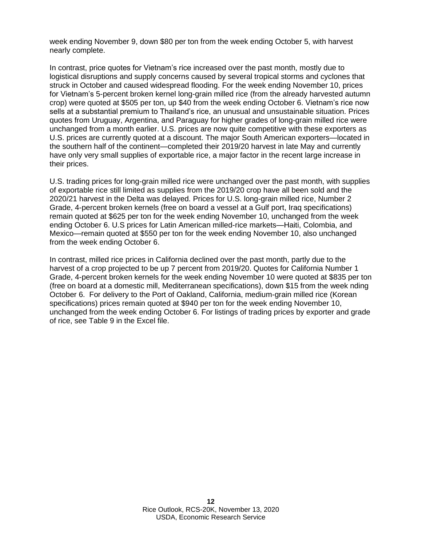week ending November 9, down \$80 per ton from the week ending October 5, with harvest nearly complete.

In contrast, price quotes for Vietnam's rice increased over the past month, mostly due to logistical disruptions and supply concerns caused by several tropical storms and cyclones that struck in October and caused widespread flooding. For the week ending November 10, prices for Vietnam's 5-percent broken kernel long-grain milled rice (from the already harvested autumn crop) were quoted at \$505 per ton, up \$40 from the week ending October 6. Vietnam's rice now sells at a substantial premium to Thailand's rice, an unusual and unsustainable situation. Prices quotes from Uruguay, Argentina, and Paraguay for higher grades of long-grain milled rice were unchanged from a month earlier. U.S. prices are now quite competitive with these exporters as U.S. prices are currently quoted at a discount. The major South American exporters—located in the southern half of the continent—completed their 2019/20 harvest in late May and currently have only very small supplies of exportable rice, a major factor in the recent large increase in their prices.

U.S. trading prices for long-grain milled rice were unchanged over the past month, with supplies of exportable rice still limited as supplies from the 2019/20 crop have all been sold and the 2020/21 harvest in the Delta was delayed. Prices for U.S. long-grain milled rice, Number 2 Grade, 4-percent broken kernels (free on board a vessel at a Gulf port, Iraq specifications) remain quoted at \$625 per ton for the week ending November 10, unchanged from the week ending October 6. U.S prices for Latin American milled-rice markets—Haiti, Colombia, and Mexico—remain quoted at \$550 per ton for the week ending November 10, also unchanged from the week ending October 6.

In contrast, milled rice prices in California declined over the past month, partly due to the harvest of a crop projected to be up 7 percent from 2019/20. Quotes for California Number 1 Grade, 4-percent broken kernels for the week ending November 10 were quoted at \$835 per ton (free on board at a domestic mill, Mediterranean specifications), down \$15 from the week nding October 6. For delivery to the Port of Oakland, California, medium-grain milled rice (Korean specifications) prices remain quoted at \$940 per ton for the week ending November 10, unchanged from the week ending October 6. For listings of trading prices by exporter and grade of rice, see Table 9 in the Excel file.